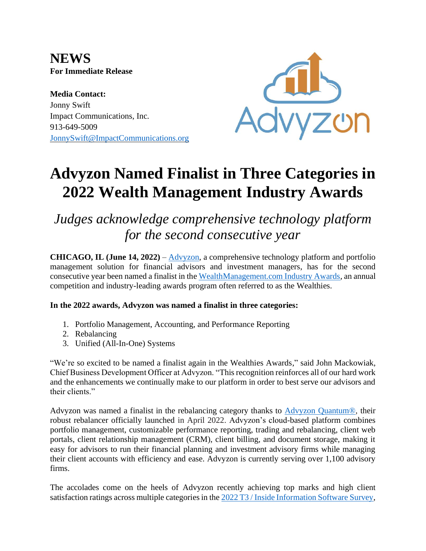**NEWS For Immediate Release**

**Media Contact:** Jonny Swift Impact Communications, Inc. 913-649-5009 [JonnySwift@ImpactCommunications.org](mailto:JonnySwift@ImpactCommunications.org)



# **Advyzon Named Finalist in Three Categories in 2022 Wealth Management Industry Awards**

## *Judges acknowledge comprehensive technology platform for the second consecutive year*

**CHICAGO, IL (June 14, 2022)** – [Advyzon,](https://www.advyzon.com/) a comprehensive technology platform and portfolio management solution for financial advisors and investment managers, has for the second consecutive year been named a finalist in the [WealthManagement.com Industry Awards,](https://www.wealthmanagement.com/industry/wealthmanagementcom-announces-2022-wealthies-finalists) an annual competition and industry-leading awards program often referred to as the Wealthies.

### **In the 2022 awards, Advyzon was named a finalist in three categories:**

- 1. Portfolio Management, Accounting, and Performance Reporting
- 2. Rebalancing
- 3. Unified (All-In-One) Systems

"We're so excited to be named a finalist again in the Wealthies Awards," said John Mackowiak, Chief Business Development Officer at Advyzon. "This recognition reinforces all of our hard work and the enhancements we continually make to our platform in order to best serve our advisors and their clients."

Advyzon was named a finalist in the rebalancing category thanks to [Advyzon Quantum®,](https://www.prnewswire.com/news-releases/advyzon-launches-quantum-rebalancer-301523412.html) their robust rebalancer officially launched in April 2022. Advyzon's cloud-based platform combines portfolio management, customizable performance reporting, trading and rebalancing, client web portals, client relationship management (CRM), client billing, and document storage, making it easy for advisors to run their financial planning and investment advisory firms while managing their client accounts with efficiency and ease. Advyzon is currently serving over 1,100 advisory firms.

The accolades come on the heels of Advyzon recently achieving top marks and high client satisfaction ratings across multiple categories in the [2022 T3 / Inside Information Software Survey,](https://www.prnewswire.com/news-releases/advyzon-achieves-high-ratings-and-significant-increase-in-market-share-in-2022-t3--inside-information-software-survey-301546728.html)